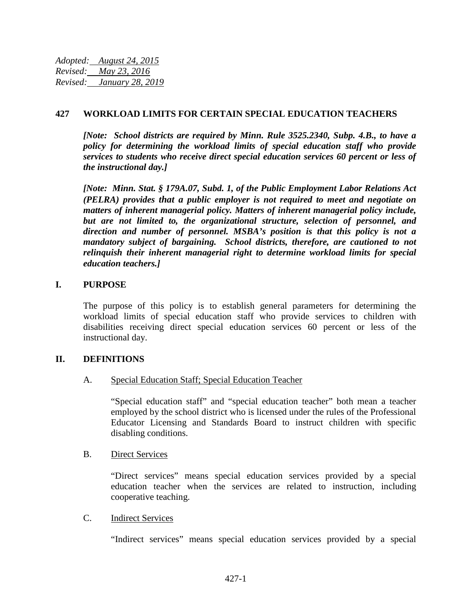*Adopted: August 24, 2015 Revised: May 23, 2016 Revised: January 28, 2019*

## **427 WORKLOAD LIMITS FOR CERTAIN SPECIAL EDUCATION TEACHERS**

*[Note: School districts are required by Minn. Rule 3525.2340, Subp. 4.B., to have a policy for determining the workload limits of special education staff who provide services to students who receive direct special education services 60 percent or less of the instructional day.]* 

*[Note: Minn. Stat. § 179A.07, Subd. 1, of the Public Employment Labor Relations Act (PELRA) provides that a public employer is not required to meet and negotiate on matters of inherent managerial policy. Matters of inherent managerial policy include, but are not limited to, the organizational structure, selection of personnel, and direction and number of personnel. MSBA's position is that this policy is not a mandatory subject of bargaining. School districts, therefore, are cautioned to not relinquish their inherent managerial right to determine workload limits for special education teachers.]*

### **I. PURPOSE**

The purpose of this policy is to establish general parameters for determining the workload limits of special education staff who provide services to children with disabilities receiving direct special education services 60 percent or less of the instructional day.

### **II. DEFINITIONS**

A. Special Education Staff; Special Education Teacher

"Special education staff" and "special education teacher" both mean a teacher employed by the school district who is licensed under the rules of the Professional Educator Licensing and Standards Board to instruct children with specific disabling conditions.

### B. Direct Services

"Direct services" means special education services provided by a special education teacher when the services are related to instruction, including cooperative teaching.

### C. Indirect Services

"Indirect services" means special education services provided by a special